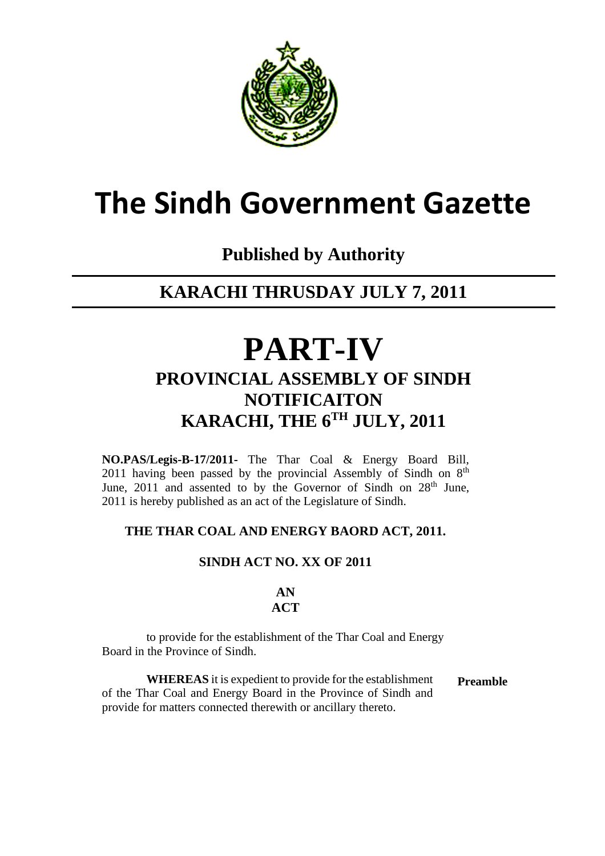

# **The Sindh Government Gazette**

### **Published by Authority**

### **KARACHI THRUSDAY JULY 7, 2011**

## **PART-IV PROVINCIAL ASSEMBLY OF SINDH NOTIFICAITON KARACHI, THE 6TH JULY, 2011**

**NO.PAS/Legis-B-17/2011-** The Thar Coal & Energy Board Bill, 2011 having been passed by the provincial Assembly of Sindh on  $8<sup>th</sup>$ June,  $2011$  and assented to by the Governor of Sindh on  $28<sup>th</sup>$  June, 2011 is hereby published as an act of the Legislature of Sindh.

#### **THE THAR COAL AND ENERGY BAORD ACT, 2011.**

#### **SINDH ACT NO. XX OF 2011**

#### **AN ACT**

 to provide for the establishment of the Thar Coal and Energy Board in the Province of Sindh.

 **WHEREAS** it is expedient to provide for the establishment of the Thar Coal and Energy Board in the Province of Sindh and provide for matters connected therewith or ancillary thereto. **Preamble**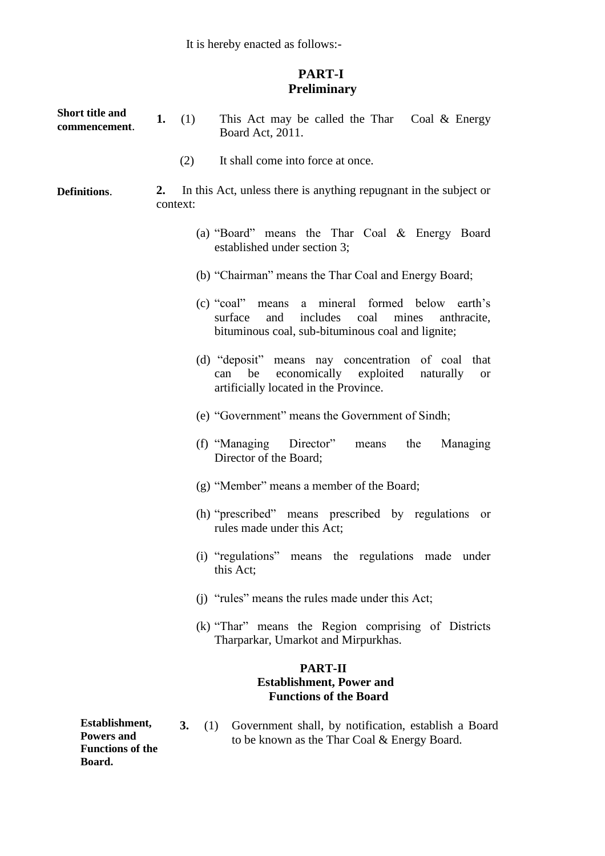It is hereby enacted as follows:-

#### **PART-I Preliminary**

| <b>Short title and</b><br>commencement. | (1)<br>This Act may be called the Thar Coal & Energy<br>1.<br>Board Act, 2011.                                                                                     |
|-----------------------------------------|--------------------------------------------------------------------------------------------------------------------------------------------------------------------|
|                                         | It shall come into force at once.<br>(2)                                                                                                                           |
| Definitions.                            | In this Act, unless there is anything repugnant in the subject or<br>2.<br>context:                                                                                |
|                                         | (a) "Board" means the Thar Coal $\&$ Energy Board<br>established under section 3;                                                                                  |
|                                         | (b) "Chairman" means the Thar Coal and Energy Board;                                                                                                               |
|                                         | (c) "coal" means a mineral formed below earth's<br>includes<br>surface<br>and<br>coal<br>mines<br>anthracite,<br>bituminous coal, sub-bituminous coal and lignite; |
|                                         | (d) "deposit" means nay concentration of coal that<br>be economically exploited naturally<br>can<br><sub>or</sub><br>artificially located in the Province.         |
|                                         | (e) "Government" means the Government of Sindh;                                                                                                                    |
|                                         | (f) "Managing Director"<br>means the<br>Managing<br>Director of the Board;                                                                                         |
|                                         | (g) "Member" means a member of the Board;                                                                                                                          |
|                                         | (h) "prescribed" means prescribed by regulations<br>or<br>rules made under this Act;                                                                               |
|                                         | (i) "regulations" means the regulations made under<br>this Act;                                                                                                    |
|                                         | (i) "rules" means the rules made under this Act;                                                                                                                   |
|                                         | (k) "Thar" means the Region comprising of Districts<br>Tharparkar, Umarkot and Mirpurkhas.                                                                         |
|                                         | <b>PART-II</b><br><b>Establishment, Power and</b><br><b>Functions of the Board</b>                                                                                 |
| Establishment,<br><b>Powers and</b>     | 3.<br>Government shall, by notification, establish a Board<br>(1)<br>to be known as the Thar Coal & Energy Board.                                                  |

**Functions of the Board.**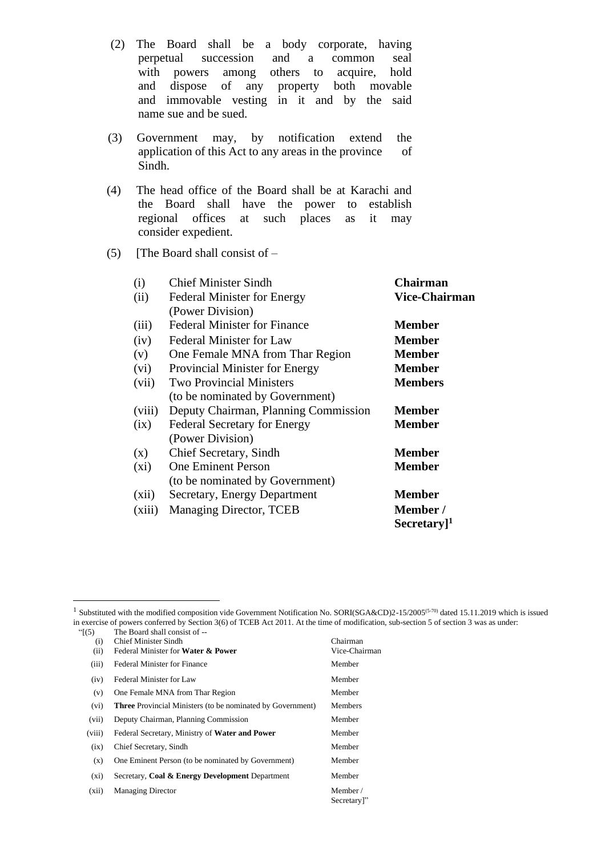(2) The Board shall be a body corporate, having perpetual succession and a common seal with powers among others to acquire, hold and dispose of any property both movable and immovable vesting in it and by the said name sue and be sued.

- (3) Government may, by notification extend the application of this Act to any areas in the province of Sindh.
- (4) The head office of the Board shall be at Karachi and the Board shall have the power to establish regional offices at such places as it may consider expedient.
- **(5)** [The Board shall consist of –

| (i)     | <b>Chief Minister Sindh</b>          | Chairman                 |
|---------|--------------------------------------|--------------------------|
| (ii)    | <b>Federal Minister for Energy</b>   | <b>Vice-Chairman</b>     |
|         | (Power Division)                     |                          |
| (iii)   | <b>Federal Minister for Finance</b>  | <b>Member</b>            |
| (iv)    | <b>Federal Minister for Law</b>      | <b>Member</b>            |
| (v)     | One Female MNA from Thar Region      | <b>Member</b>            |
| (vi)    | Provincial Minister for Energy       | <b>Member</b>            |
| (vii)   | <b>Two Provincial Ministers</b>      | <b>Members</b>           |
|         | (to be nominated by Government)      |                          |
| (viii)  | Deputy Chairman, Planning Commission | <b>Member</b>            |
| (ix)    | <b>Federal Secretary for Energy</b>  | <b>Member</b>            |
|         | (Power Division)                     |                          |
| (x)     | Chief Secretary, Sindh               | <b>Member</b>            |
| $(x_i)$ | <b>One Eminent Person</b>            | <b>Member</b>            |
|         | (to be nominated by Government)      |                          |
| (xii)   | Secretary, Energy Department         | <b>Member</b>            |
| (xiii)  | <b>Managing Director, TCEB</b>       | Member/                  |
|         |                                      | $Sercetary$ <sup>1</sup> |

<sup>&</sup>lt;sup>1</sup> Substituted with the modified composition vide Government Notification No. SORI(SGA&CD)2-15/2005<sup>(5-70)</sup> dated 15.11.2019 which is issued in exercise of powers conferred by Section 3(6) of TCEB Act 2011. At the time of modification, sub-section 5 of section 3 was as under: "[(5) The Board shall consist of --

| (i)     | <b>Chief Minister Sindh</b>                                       | Chairman               |
|---------|-------------------------------------------------------------------|------------------------|
| (ii)    | Federal Minister for Water & Power                                | Vice-Chairman          |
| (iii)   | <b>Federal Minister for Finance</b>                               | Member                 |
| (iv)    | Federal Minister for Law                                          | Member                 |
| (v)     | One Female MNA from Thar Region                                   | Member                 |
| (vi)    | <b>Three Provincial Ministers (to be nominated by Government)</b> | <b>Members</b>         |
| (vii)   | Deputy Chairman, Planning Commission                              | Member                 |
| (viii)  | Federal Secretary, Ministry of Water and Power                    | Member                 |
| (ix)    | Chief Secretary, Sindh                                            | Member                 |
| (x)     | One Eminent Person (to be nominated by Government)                | Member                 |
| $(x_i)$ | Secretary, Coal & Energy Development Department                   | Member                 |
| (xii)   | <b>Managing Director</b>                                          | Member/<br>Secretary]" |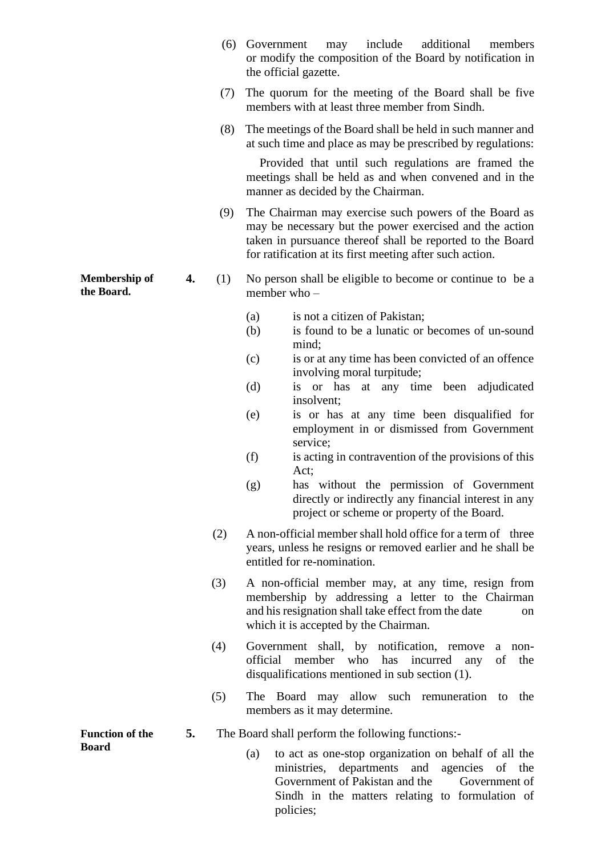|                                    |    | (6) | include<br>additional<br>Government<br>members<br>may<br>or modify the composition of the Board by notification in<br>the official gazette.                                                                                               |  |  |  |
|------------------------------------|----|-----|-------------------------------------------------------------------------------------------------------------------------------------------------------------------------------------------------------------------------------------------|--|--|--|
|                                    |    | (7) | The quorum for the meeting of the Board shall be five<br>members with at least three member from Sindh.                                                                                                                                   |  |  |  |
|                                    |    | (8) | The meetings of the Board shall be held in such manner and<br>at such time and place as may be prescribed by regulations:                                                                                                                 |  |  |  |
|                                    |    |     | Provided that until such regulations are framed the<br>meetings shall be held as and when convened and in the<br>manner as decided by the Chairman.                                                                                       |  |  |  |
|                                    |    | (9) | The Chairman may exercise such powers of the Board as<br>may be necessary but the power exercised and the action<br>taken in pursuance thereof shall be reported to the Board<br>for ratification at its first meeting after such action. |  |  |  |
| <b>Membership of</b><br>the Board. | 4. | (1) | No person shall be eligible to become or continue to be a<br>member who $-$                                                                                                                                                               |  |  |  |
|                                    |    |     | is not a citizen of Pakistan;<br>(a)<br>(b)<br>is found to be a lunatic or becomes of un-sound<br>mind;                                                                                                                                   |  |  |  |
|                                    |    |     | is or at any time has been convicted of an offence<br>(c)<br>involving moral turpitude;                                                                                                                                                   |  |  |  |
|                                    |    |     | (d)<br>or has at any time been adjudicated<br>1S<br>insolvent;                                                                                                                                                                            |  |  |  |
|                                    |    |     | is or has at any time been disqualified for<br>(e)<br>employment in or dismissed from Government<br>service;                                                                                                                              |  |  |  |
|                                    |    |     | (f)<br>is acting in contravention of the provisions of this<br>Act;                                                                                                                                                                       |  |  |  |
|                                    |    |     | has without the permission of Government<br>(g)<br>directly or indirectly any financial interest in any<br>project or scheme or property of the Board.                                                                                    |  |  |  |
|                                    |    | (2) | A non-official member shall hold office for a term of three<br>years, unless he resigns or removed earlier and he shall be<br>entitled for re-nomination.                                                                                 |  |  |  |
|                                    |    | (3) | A non-official member may, at any time, resign from<br>membership by addressing a letter to the Chairman<br>and his resignation shall take effect from the date<br>on<br>which it is accepted by the Chairman.                            |  |  |  |
|                                    |    | (4) | Government shall, by notification, remove<br>non-<br>a<br>official<br>member<br>who<br>has<br>incurred<br>of<br>the<br>any<br>disqualifications mentioned in sub section $(1)$ .                                                          |  |  |  |
|                                    |    | (5) | The Board may allow such remuneration<br>the<br>to<br>members as it may determine.                                                                                                                                                        |  |  |  |
| <b>Function of the</b>             | 5. |     | The Board shall perform the following functions:-                                                                                                                                                                                         |  |  |  |
| <b>Board</b>                       |    |     | to act as one-stop organization on behalf of all the<br>(a)<br>ministries, departments and agencies of the<br>Government of Pakistan and the<br>Government of<br>Sindh in the matters relating to formulation of                          |  |  |  |

policies;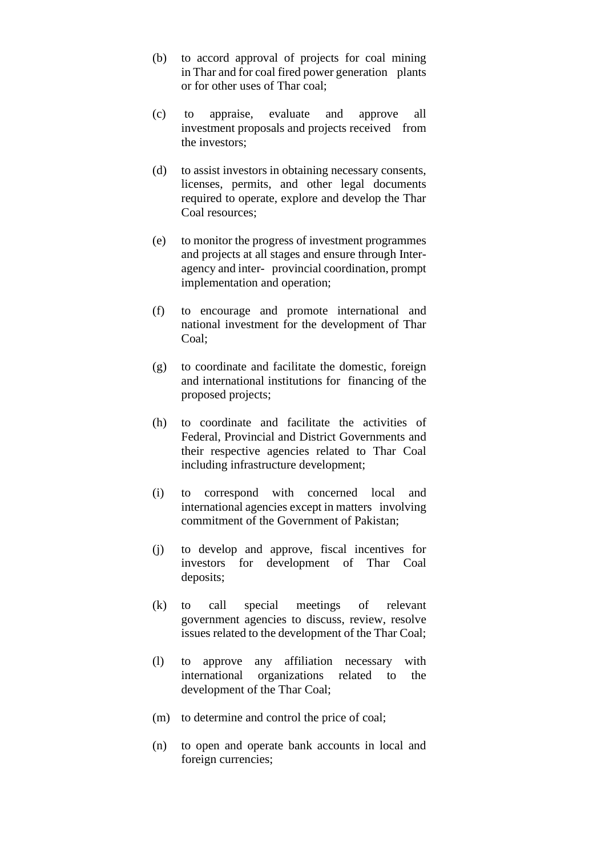- (b) to accord approval of projects for coal mining in Thar and for coal fired power generation plants or for other uses of Thar coal;
- (c) to appraise, evaluate and approve all investment proposals and projects received from the investors;
- (d) to assist investors in obtaining necessary consents, licenses, permits, and other legal documents required to operate, explore and develop the Thar Coal resources;
- (e) to monitor the progress of investment programmes and projects at all stages and ensure through Interagency and inter- provincial coordination, prompt implementation and operation;
- (f) to encourage and promote international and national investment for the development of Thar Coal;
- (g) to coordinate and facilitate the domestic, foreign and international institutions for financing of the proposed projects;
- (h) to coordinate and facilitate the activities of Federal, Provincial and District Governments and their respective agencies related to Thar Coal including infrastructure development;
- (i) to correspond with concerned local and international agencies except in matters involving commitment of the Government of Pakistan;
- (j) to develop and approve, fiscal incentives for investors for development of Thar Coal deposits;
- (k) to call special meetings of relevant government agencies to discuss, review, resolve issues related to the development of the Thar Coal;
- (l) to approve any affiliation necessary with international organizations related to the development of the Thar Coal;
- (m) to determine and control the price of coal;
- (n) to open and operate bank accounts in local and foreign currencies;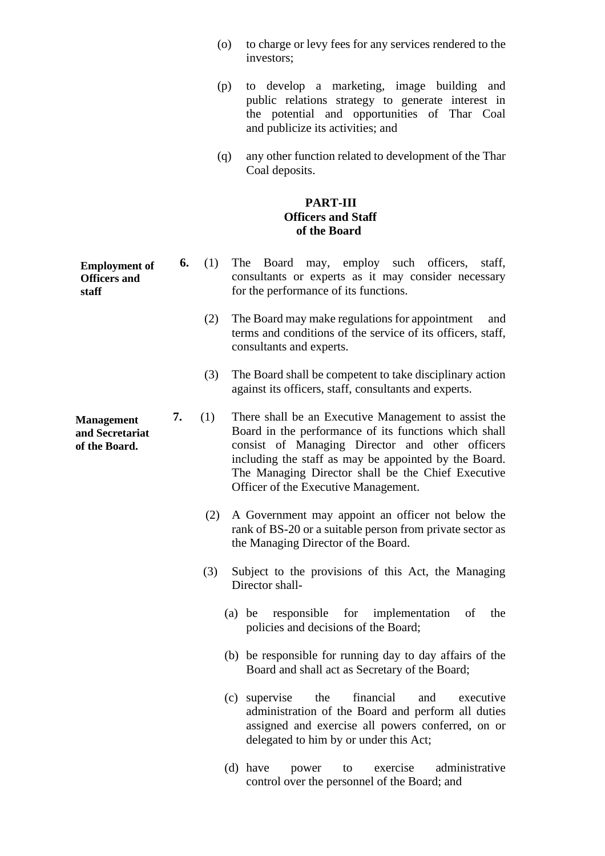- (o) to charge or levy fees for any services rendered to the investors;
- (p) to develop a marketing, image building and public relations strategy to generate interest in the potential and opportunities of Thar Coal and publicize its activities; and
- (q) any other function related to development of the Thar Coal deposits.

#### **PART-III Officers and Staff of the Board**

- **6.** (1) The Board may, employ such officers, staff, consultants or experts as it may consider necessary for the performance of its functions. **Employment of** 
	- (2) The Board may make regulations for appointment and terms and conditions of the service of its officers, staff, consultants and experts.
	- (3) The Board shall be competent to take disciplinary action against its officers, staff, consultants and experts.
	- **7.** (1) There shall be an Executive Management to assist the Board in the performance of its functions which shall consist of Managing Director and other officers including the staff as may be appointed by the Board. The Managing Director shall be the Chief Executive Officer of the Executive Management.
		- (2) A Government may appoint an officer not below the rank of BS-20 or a suitable person from private sector as the Managing Director of the Board.
		- (3) Subject to the provisions of this Act, the Managing Director shall-
			- (a) be responsible for implementation of the policies and decisions of the Board;
			- (b) be responsible for running day to day affairs of the Board and shall act as Secretary of the Board;
			- (c) supervise the financial and executive administration of the Board and perform all duties assigned and exercise all powers conferred, on or delegated to him by or under this Act;
			- (d) have power to exercise administrative control over the personnel of the Board; and

**Officers and staff** 

**Management and Secretariat of the Board.**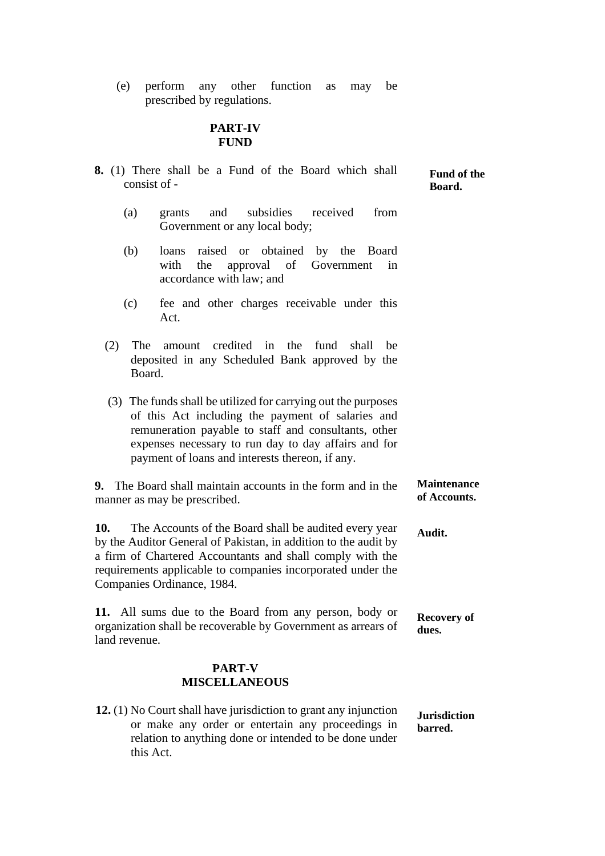(e) perform any other function as may be prescribed by regulations.

#### **PART-IV FUND**

| <b>8.</b> (1) There shall be a Fund of the Board which shall<br>consist of - |                                                                                                                                                                                                                                                                                       | Fund of the<br>Board.              |
|------------------------------------------------------------------------------|---------------------------------------------------------------------------------------------------------------------------------------------------------------------------------------------------------------------------------------------------------------------------------------|------------------------------------|
| (a)                                                                          | subsidies<br>from<br>received<br>grants<br>and<br>Government or any local body;                                                                                                                                                                                                       |                                    |
| (b)                                                                          | obtained<br>raised or<br>by the<br>loans<br>Board<br>with<br>the<br>approval of<br>Government<br>in<br>accordance with law; and                                                                                                                                                       |                                    |
| (c)                                                                          | fee and other charges receivable under this<br>Act.                                                                                                                                                                                                                                   |                                    |
| (2)<br>The<br>Board.                                                         | credited in<br>the<br>fund<br>shall<br>amount<br>be<br>deposited in any Scheduled Bank approved by the                                                                                                                                                                                |                                    |
|                                                                              | (3) The funds shall be utilized for carrying out the purposes<br>of this Act including the payment of salaries and<br>remuneration payable to staff and consultants, other<br>expenses necessary to run day to day affairs and for<br>payment of loans and interests thereon, if any. |                                    |
|                                                                              | 9. The Board shall maintain accounts in the form and in the<br>manner as may be prescribed.                                                                                                                                                                                           | <b>Maintenance</b><br>of Accounts. |
| 10.                                                                          | The Accounts of the Board shall be audited every year<br>by the Auditor General of Pakistan, in addition to the audit by<br>a firm of Chartered Accountants and shall comply with the<br>requirements applicable to companies incorporated under the<br>Companies Ordinance, 1984.    | Audit.                             |
| land revenue.                                                                | 11. All sums due to the Board from any person, body or<br>organization shall be recoverable by Government as arrears of                                                                                                                                                               | <b>Recovery of</b><br>dues.        |
|                                                                              | PART-V<br><b>MISCELLANEOUS</b>                                                                                                                                                                                                                                                        |                                    |
|                                                                              | 12. (1) No Court shall have jurisdiction to grant any injunction<br>or make any order or entertain any proceedings in<br>relation to anything done or intended to be done under                                                                                                       | <b>Jurisdiction</b><br>barred.     |

this Act.